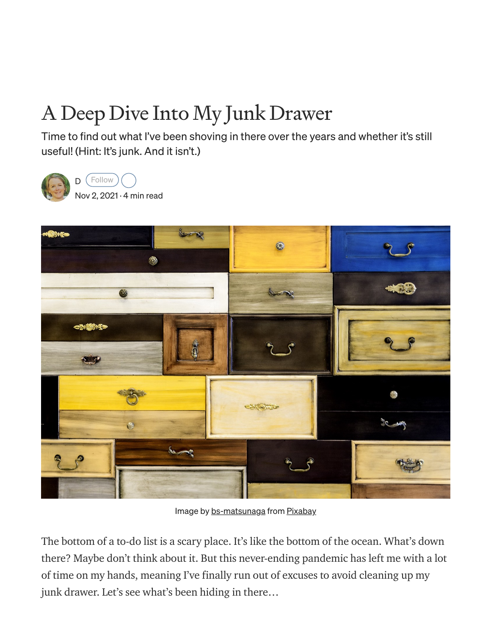# A Deep Dive Into My Junk Drawer

Time to find out what I've been shoving in there over the years and whether it's still useful! (Hint: It's junk. And it isn't.)



[D](https://medium.com/@deeahn?source=post_page-----35a53f03c2ea-----------------------------------) (Follow

Nov 2, [2021](https://medium.com/slackjaw/a-deep-dive-into-my-junk-drawer-35a53f03c2ea?source=post_page-----35a53f03c2ea-----------------------------------) · 4 min read



Image by [bs-matsunaga](https://pixabay.com/users/bs-matsunaga-4906002/?utm_source=link-attribution&utm_medium=referral&utm_campaign=image&utm_content=2714678) from [Pixabay](https://pixabay.com/?utm_source=link-attribution&utm_medium=referral&utm_campaign=image&utm_content=2714678)

The bottom of a to-do list is a scary place. It's like the bottom of the ocean. What's down there? Maybe don't think about it. But this never-ending pandemic has left me with a lot of time on my hands, meaning I've finally run out of excuses to avoid cleaning up my junk drawer. Let's see what's been hiding in there…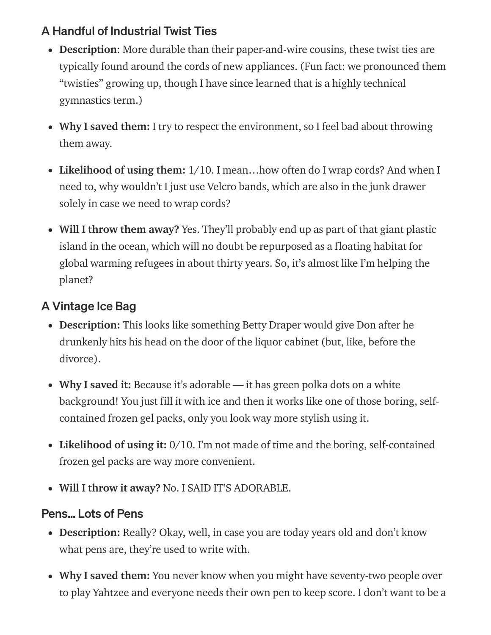# A Handful of Industrial Twist Ties

- Description: More durable than their paper-and-wire cousins, these twist ties are typically found around the cords of new appliances. (Fun fact: we pronounced them "twisties" growing up, though I have since learned that is a highly technical gymnastics term.)
- Why I saved them: I try to respect the environment, so I feel bad about throwing them away.
- Likelihood of using them: 1/10. I mean...how often do I wrap cords? And when I need to, why wouldn't I just use Velcro bands, which are also in the junk drawer solely in case we need to wrap cords?
- Will I throw them away? Yes. They'll probably end up as part of that giant plastic island in the ocean, which will no doubt be repurposed as a floating habitat for global warming refugees in about thirty years. So, it's almost like I'm helping the planet?

# A Vintage Ice Bag

- Description: This looks like something Betty Draper would give Don after he drunkenly hits his head on the door of the liquor cabinet (but, like, before the divorce).
- Why I saved it: Because it's adorable it has green polka dots on a white background! You just fill it with ice and then it works like one of those boring, selfcontained frozen gel packs, only you look way more stylish using it.
- Likelihood of using it: 0/10. I'm not made of time and the boring, self-contained frozen gel packs are way more convenient.
- Will I throw it away? No. I SAID IT'S ADORABLE.

## Pens… Lots of Pens

- Description: Really? Okay, well, in case you are today years old and don't know what pens are, they're used to write with.
- Why I saved them: You never know when you might have seventy-two people over to play Yahtzee and everyone needs their own pen to keep score. I don't want to be a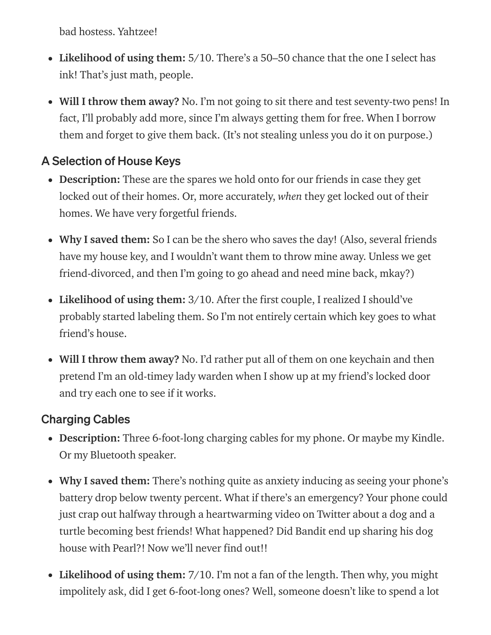bad hostess. Yahtzee!

- Likelihood of using them:  $5/10$ . There's a 50–50 chance that the one I select has ink! That's just math, people.
- Will I throw them away? No. I'm not going to sit there and test seventy-two pens! In fact, I'll probably add more, since I'm always getting them for free. When I borrow them and forget to give them back. (It's not stealing unless you do it on purpose.)

## A Selection of House Keys

- Description: These are the spares we hold onto for our friends in case they get locked out of their homes. Or, more accurately, *when* they get locked out of their homes. We have very forgetful friends.
- Why I saved them: So I can be the shero who saves the day! (Also, several friends have my house key, and I wouldn't want them to throw mine away. Unless we get friend-divorced, and then I'm going to go ahead and need mine back, mkay?)
- Likelihood of using them: 3/10. After the first couple, I realized I should've probably started labeling them. So I'm not entirely certain which key goes to what friend's house.
- Will I throw them away? No. I'd rather put all of them on one keychain and then pretend I'm an old-timey lady warden when I show up at my friend's locked door and try each one to see if it works.

## Charging Cables

- Description: Three 6-foot-long charging cables for my phone. Or maybe my Kindle. Or my Bluetooth speaker.
- Why I saved them: There's nothing quite as anxiety inducing as seeing your phone's battery drop below twenty percent. What if there's an emergency? Your phone could just crap out halfway through a heartwarming video on Twitter about a dog and a turtle becoming best friends! What happened? Did Bandit end up sharing his dog house with Pearl?! Now we'll never find out!!
- Likelihood of using them: 7/10. I'm not a fan of the length. Then why, you might impolitely ask, did I get 6-foot-long ones? Well, someone doesn't like to spend a lot